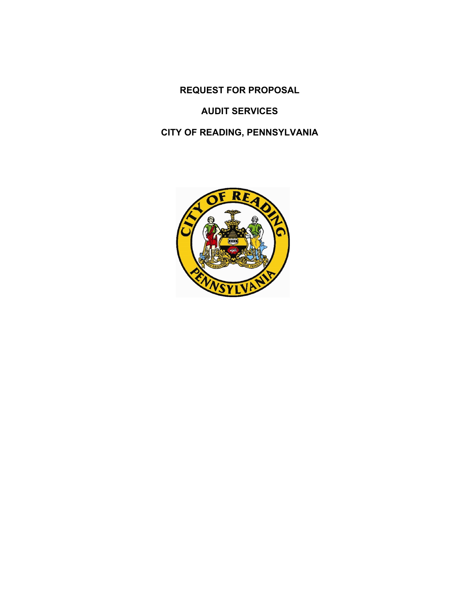**REQUEST FOR PROPOSAL** 

## **AUDIT SERVICES**

## **CITY OF READING, PENNSYLVANIA**

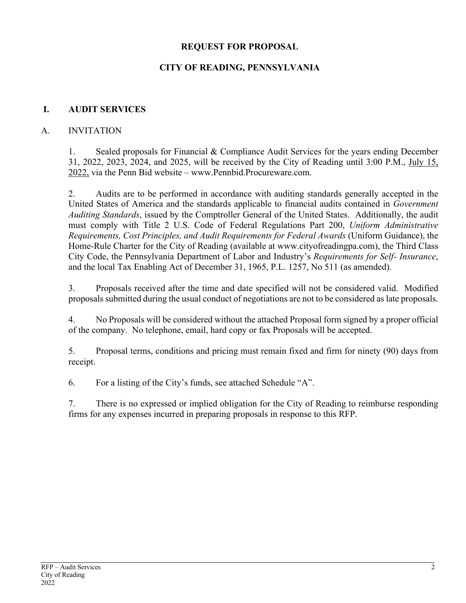#### **REQUEST FOR PROPOSAL**

## **CITY OF READING, PENNSYLVANIA**

#### **I. AUDIT SERVICES**

#### A. INVITATION

1. Sealed proposals for Financial & Compliance Audit Services for the years ending December 31, 2022, 2023, 2024, and 2025, will be received by the City of Reading until 3:00 P.M., July 15, 2022, via the Penn Bid website – www.Pennbid.Procureware.com.

2. Audits are to be performed in accordance with auditing standards generally accepted in the United States of America and the standards applicable to financial audits contained in *Government Auditing Standards*, issued by the Comptroller General of the United States. Additionally, the audit must comply with Title 2 U.S. Code of Federal Regulations Part 200, *Uniform Administrative Requirements, Cost Principles, and Audit Requirements for Federal Awards* (Uniform Guidance), the Home-Rule Charter for the City of Reading (available at www.cityofreadingpa.com), the Third Class City Code, the Pennsylvania Department of Labor and Industry's *Requirements for Self- Insurance*, and the local Tax Enabling Act of December 31, 1965, P.L. 1257, No 511 (as amended).

3. Proposals received after the time and date specified will not be considered valid. Modified proposals submitted during the usual conduct of negotiations are not to be considered as late proposals.

4. No Proposals will be considered without the attached Proposal form signed by a proper official of the company. No telephone, email, hard copy or fax Proposals will be accepted.

5. Proposal terms, conditions and pricing must remain fixed and firm for ninety (90) days from receipt.

6. For a listing of the City's funds, see attached Schedule "A".

7. There is no expressed or implied obligation for the City of Reading to reimburse responding firms for any expenses incurred in preparing proposals in response to this RFP.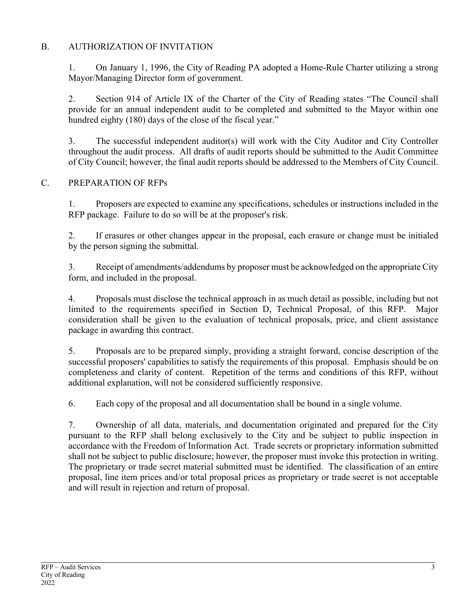## B. AUTHORIZATION OF INVITATION

1. On January 1, 1996, the City of Reading PA adopted a Home-Rule Charter utilizing a strong Mayor/Managing Director form of government.

2. Section 914 of Article IX of the Charter of the City of Reading states "The Council shall provide for an annual independent audit to be completed and submitted to the Mayor within one hundred eighty (180) days of the close of the fiscal year."

3. The successful independent auditor(s) will work with the City Auditor and City Controller throughout the audit process. All drafts of audit reports should be submitted to the Audit Committee of City Council; however, the final audit reports should be addressed to the Members of City Council.

#### C. PREPARATION OF RFPs

1. Proposers are expected to examine any specifications, schedules or instructions included in the RFP package. Failure to do so will be at the proposer's risk.

2. If erasures or other changes appear in the proposal, each erasure or change must be initialed by the person signing the submittal.

3. Receipt of amendments/addendums by proposer must be acknowledged on the appropriate City form, and included in the proposal.

4. Proposals must disclose the technical approach in as much detail as possible, including but not limited to the requirements specified in Section D, Technical Proposal, of this RFP. Major consideration shall be given to the evaluation of technical proposals, price, and client assistance package in awarding this contract.

5. Proposals are to be prepared simply, providing a straight forward, concise description of the successful proposers' capabilities to satisfy the requirements of this proposal. Emphasis should be on completeness and clarity of content. Repetition of the terms and conditions of this RFP, without additional explanation, will not be considered sufficiently responsive.

6. Each copy of the proposal and all documentation shall be bound in a single volume.

7. Ownership of all data, materials, and documentation originated and prepared for the City pursuant to the RFP shall belong exclusively to the City and be subject to public inspection in accordance with the Freedom of Information Act. Trade secrets or proprietary information submitted shall not be subject to public disclosure; however, the proposer must invoke this protection in writing. The proprietary or trade secret material submitted must be identified. The classification of an entire proposal, line item prices and/or total proposal prices as proprietary or trade secret is not acceptable and will result in rejection and return of proposal.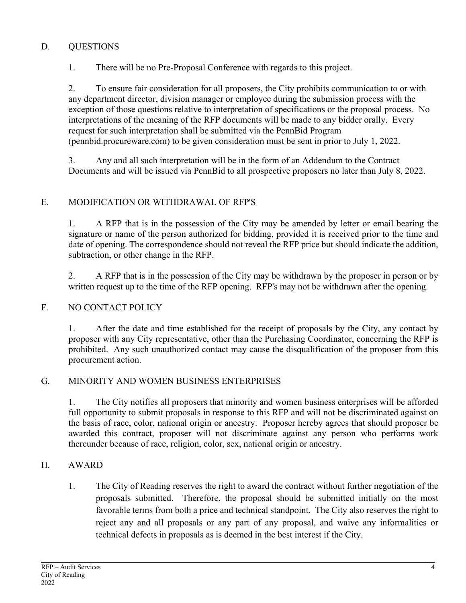## D. QUESTIONS

1. There will be no Pre-Proposal Conference with regards to this project.

2. To ensure fair consideration for all proposers, the City prohibits communication to or with any department director, division manager or employee during the submission process with the exception of those questions relative to interpretation of specifications or the proposal process. No interpretations of the meaning of the RFP documents will be made to any bidder orally. Every request for such interpretation shall be submitted via the PennBid Program (pennbid.procureware.com) to be given consideration must be sent in prior to July 1, 2022.

3. Any and all such interpretation will be in the form of an Addendum to the Contract Documents and will be issued via PennBid to all prospective proposers no later than July 8, 2022.

## E. MODIFICATION OR WITHDRAWAL OF RFP'S

1. A RFP that is in the possession of the City may be amended by letter or email bearing the signature or name of the person authorized for bidding, provided it is received prior to the time and date of opening. The correspondence should not reveal the RFP price but should indicate the addition, subtraction, or other change in the RFP.

2. A RFP that is in the possession of the City may be withdrawn by the proposer in person or by written request up to the time of the RFP opening. RFP's may not be withdrawn after the opening.

## F. NO CONTACT POLICY

1. After the date and time established for the receipt of proposals by the City, any contact by proposer with any City representative, other than the Purchasing Coordinator, concerning the RFP is prohibited. Any such unauthorized contact may cause the disqualification of the proposer from this procurement action.

## G. MINORITY AND WOMEN BUSINESS ENTERPRISES

1. The City notifies all proposers that minority and women business enterprises will be afforded full opportunity to submit proposals in response to this RFP and will not be discriminated against on the basis of race, color, national origin or ancestry. Proposer hereby agrees that should proposer be awarded this contract, proposer will not discriminate against any person who performs work thereunder because of race, religion, color, sex, national origin or ancestry.

## H. AWARD

1. The City of Reading reserves the right to award the contract without further negotiation of the proposals submitted. Therefore, the proposal should be submitted initially on the most favorable terms from both a price and technical standpoint. The City also reserves the right to reject any and all proposals or any part of any proposal, and waive any informalities or technical defects in proposals as is deemed in the best interest if the City.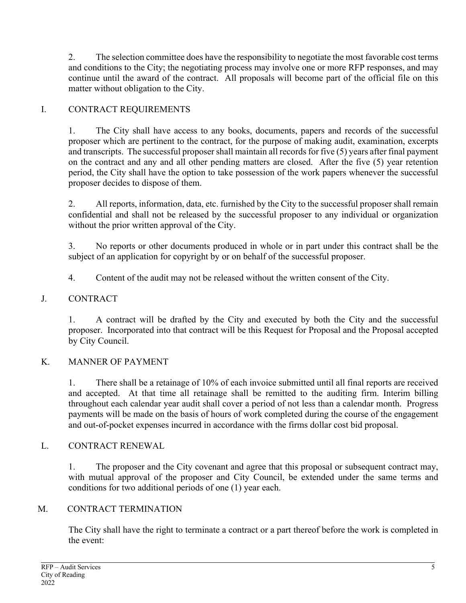2. The selection committee does have the responsibility to negotiate the most favorable cost terms and conditions to the City; the negotiating process may involve one or more RFP responses, and may continue until the award of the contract. All proposals will become part of the official file on this matter without obligation to the City.

## I. CONTRACT REQUIREMENTS

1. The City shall have access to any books, documents, papers and records of the successful proposer which are pertinent to the contract, for the purpose of making audit, examination, excerpts and transcripts. The successful proposer shall maintain all records for five (5) years after final payment on the contract and any and all other pending matters are closed. After the five (5) year retention period, the City shall have the option to take possession of the work papers whenever the successful proposer decides to dispose of them.

2. All reports, information, data, etc. furnished by the City to the successful proposer shall remain confidential and shall not be released by the successful proposer to any individual or organization without the prior written approval of the City.

3. No reports or other documents produced in whole or in part under this contract shall be the subject of an application for copyright by or on behalf of the successful proposer.

4. Content of the audit may not be released without the written consent of the City.

## J. CONTRACT

1. A contract will be drafted by the City and executed by both the City and the successful proposer. Incorporated into that contract will be this Request for Proposal and the Proposal accepted by City Council.

## K. MANNER OF PAYMENT

1. There shall be a retainage of 10% of each invoice submitted until all final reports are received and accepted. At that time all retainage shall be remitted to the auditing firm. Interim billing throughout each calendar year audit shall cover a period of not less than a calendar month. Progress payments will be made on the basis of hours of work completed during the course of the engagement and out-of-pocket expenses incurred in accordance with the firms dollar cost bid proposal.

## L. CONTRACT RENEWAL

1. The proposer and the City covenant and agree that this proposal or subsequent contract may, with mutual approval of the proposer and City Council, be extended under the same terms and conditions for two additional periods of one (1) year each.

## M. CONTRACT TERMINATION

The City shall have the right to terminate a contract or a part thereof before the work is completed in the event: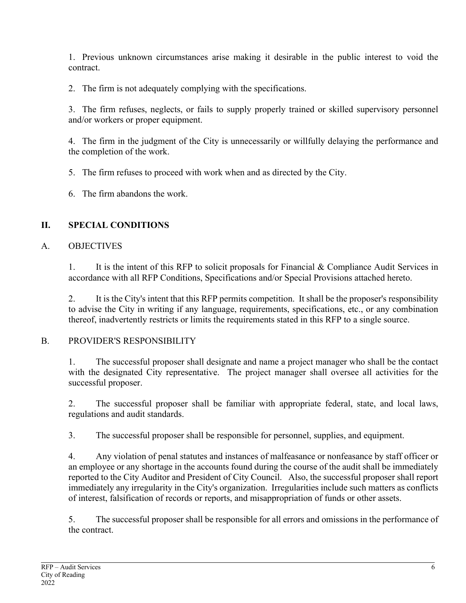1. Previous unknown circumstances arise making it desirable in the public interest to void the contract.

2. The firm is not adequately complying with the specifications.

3. The firm refuses, neglects, or fails to supply properly trained or skilled supervisory personnel and/or workers or proper equipment.

4. The firm in the judgment of the City is unnecessarily or willfully delaying the performance and the completion of the work.

5. The firm refuses to proceed with work when and as directed by the City.

6. The firm abandons the work.

## **II. SPECIAL CONDITIONS**

## A. OBJECTIVES

1. It is the intent of this RFP to solicit proposals for Financial & Compliance Audit Services in accordance with all RFP Conditions, Specifications and/or Special Provisions attached hereto.

2. It is the City's intent that this RFP permits competition. It shall be the proposer's responsibility to advise the City in writing if any language, requirements, specifications, etc., or any combination thereof, inadvertently restricts or limits the requirements stated in this RFP to a single source.

## B. PROVIDER'S RESPONSIBILITY

1. The successful proposer shall designate and name a project manager who shall be the contact with the designated City representative. The project manager shall oversee all activities for the successful proposer.

2. The successful proposer shall be familiar with appropriate federal, state, and local laws, regulations and audit standards.

3. The successful proposer shall be responsible for personnel, supplies, and equipment.

4. Any violation of penal statutes and instances of malfeasance or nonfeasance by staff officer or an employee or any shortage in the accounts found during the course of the audit shall be immediately reported to the City Auditor and President of City Council. Also, the successful proposer shall report immediately any irregularity in the City's organization. Irregularities include such matters as conflicts of interest, falsification of records or reports, and misappropriation of funds or other assets.

5. The successful proposer shall be responsible for all errors and omissions in the performance of the contract.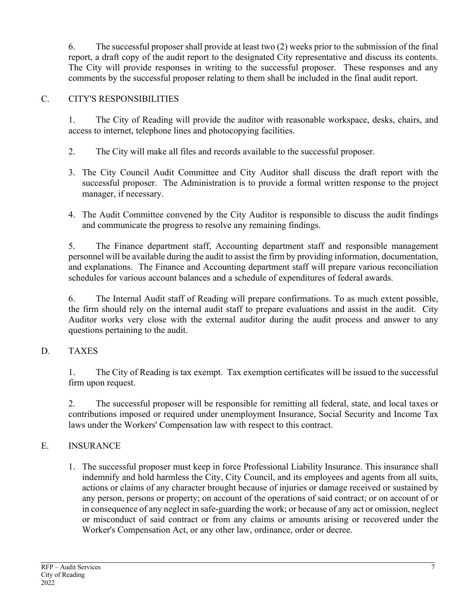6. The successful proposer shall provide at least two (2) weeks prior to the submission of the final report, a draft copy of the audit report to the designated City representative and discuss its contents. The City will provide responses in writing to the successful proposer. These responses and any comments by the successful proposer relating to them shall be included in the final audit report.

## C. CITY'S RESPONSIBILITIES

1. The City of Reading will provide the auditor with reasonable workspace, desks, chairs, and access to internet, telephone lines and photocopying facilities.

- 2. The City will make all files and records available to the successful proposer.
- 3. The City Council Audit Committee and City Auditor shall discuss the draft report with the successful proposer. The Administration is to provide a formal written response to the project manager, if necessary.
- 4. The Audit Committee convened by the City Auditor is responsible to discuss the audit findings and communicate the progress to resolve any remaining findings.

5. The Finance department staff, Accounting department staff and responsible management personnel will be available during the audit to assist the firm by providing information, documentation, and explanations. The Finance and Accounting department staff will prepare various reconciliation schedules for various account balances and a schedule of expenditures of federal awards.

6. The Internal Audit staff of Reading will prepare confirmations. To as much extent possible, the firm should rely on the internal audit staff to prepare evaluations and assist in the audit. City Auditor works very close with the external auditor during the audit process and answer to any questions pertaining to the audit.

## D. TAXES

1. The City of Reading is tax exempt. Tax exemption certificates will be issued to the successful firm upon request.

2. The successful proposer will be responsible for remitting all federal, state, and local taxes or contributions imposed or required under unemployment Insurance, Social Security and Income Tax laws under the Workers' Compensation law with respect to this contract.

## E. INSURANCE

1. The successful proposer must keep in force Professional Liability Insurance. This insurance shall indemnify and hold harmless the City, City Council, and its employees and agents from all suits, actions or claims of any character brought because of injuries or damage received or sustained by any person, persons or property; on account of the operations of said contract; or on account of or in consequence of any neglect in safe-guarding the work; or because of any act or omission, neglect or misconduct of said contract or from any claims or amounts arising or recovered under the Worker's Compensation Act, or any other law, ordinance, order or decree.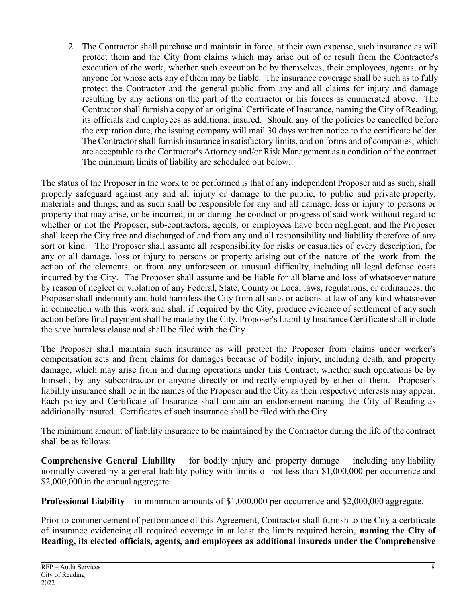2. The Contractor shall purchase and maintain in force, at their own expense, such insurance as will protect them and the City from claims which may arise out of or result from the Contractor's execution of the work, whether such execution be by themselves, their employees, agents, or by anyone for whose acts any of them may be liable. The insurance coverage shall be such as to fully protect the Contractor and the general public from any and all claims for injury and damage resulting by any actions on the part of the contractor or his forces as enumerated above. The Contractor shall furnish a copy of an original Certificate of Insurance, naming the City of Reading, its officials and employees as additional insured. Should any of the policies be cancelled before the expiration date, the issuing company will mail 30 days written notice to the certificate holder. The Contractor shall furnish insurance in satisfactory limits, and on forms and of companies, which are acceptable to the Contractor's Attorney and/or Risk Management as a condition of the contract. The minimum limits of liability are scheduled out below.

The status of the Proposer in the work to be performed is that of any independent Proposer and as such, shall properly safeguard against any and all injury or damage to the public, to public and private property, materials and things, and as such shall be responsible for any and all damage, loss or injury to persons or property that may arise, or be incurred, in or during the conduct or progress of said work without regard to whether or not the Proposer, sub-contractors, agents, or employees have been negligent, and the Proposer shall keep the City free and discharged of and from any and all responsibility and liability therefore of any sort or kind. The Proposer shall assume all responsibility for risks or casualties of every description, for any or all damage, loss or injury to persons or property arising out of the nature of the work from the action of the elements, or from any unforeseen or unusual difficulty, including all legal defense costs incurred by the City. The Proposer shall assume and be liable for all blame and loss of whatsoever nature by reason of neglect or violation of any Federal, State, County or Local laws, regulations, or ordinances; the Proposer shall indemnify and hold harmless the City from all suits or actions at law of any kind whatsoever in connection with this work and shall if required by the City, produce evidence of settlement of any such action before final payment shall be made by the City. Proposer's Liability Insurance Certificate shall include the save harmless clause and shall be filed with the City.

The Proposer shall maintain such insurance as will protect the Proposer from claims under worker's compensation acts and from claims for damages because of bodily injury, including death, and property damage, which may arise from and during operations under this Contract, whether such operations be by himself, by any subcontractor or anyone directly or indirectly employed by either of them. Proposer's liability insurance shall be in the names of the Proposer and the City as their respective interests may appear. Each policy and Certificate of Insurance shall contain an endorsement naming the City of Reading as additionally insured. Certificates of such insurance shall be filed with the City.

The minimum amount of liability insurance to be maintained by the Contractor during the life of the contract shall be as follows:

**Comprehensive General Liability** – for bodily injury and property damage – including any liability normally covered by a general liability policy with limits of not less than \$1,000,000 per occurrence and \$2,000,000 in the annual aggregate.

**Professional Liability** – in minimum amounts of \$1,000,000 per occurrence and \$2,000,000 aggregate.

Prior to commencement of performance of this Agreement, Contractor shall furnish to the City a certificate of insurance evidencing all required coverage in at least the limits required herein, **naming the City of Reading, its elected officials, agents, and employees as additional insureds under the Comprehensive**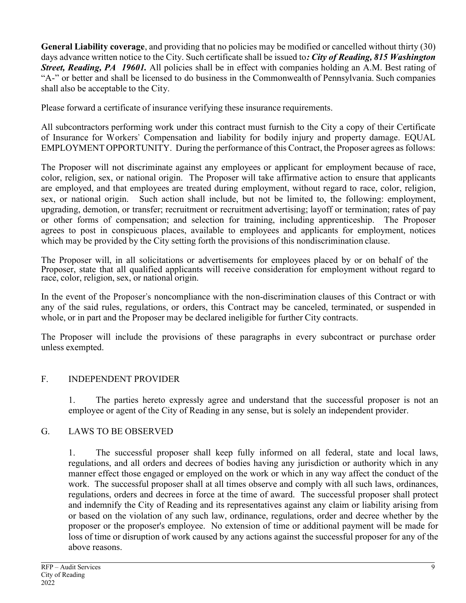**General Liability coverage**, and providing that no policies may be modified or cancelled without thirty (30) days advance written notice to the City. Such certificate shall be issued to*: City of Reading, 815 Washington Street, Reading, PA 19601.* All policies shall be in effect with companies holding an A.M. Best rating of "A-" or better and shall be licensed to do business in the Commonwealth of Pennsylvania. Such companies shall also be acceptable to the City.

Please forward a certificate of insurance verifying these insurance requirements.

All subcontractors performing work under this contract must furnish to the City a copy of their Certificate of Insurance for Workers' Compensation and liability for bodily injury and property damage. EQUAL EMPLOYMENT OPPORTUNITY. During the performance of this Contract, the Proposer agrees as follows:

The Proposer will not discriminate against any employees or applicant for employment because of race, color, religion, sex, or national origin. The Proposer will take affirmative action to ensure that applicants are employed, and that employees are treated during employment, without regard to race, color, religion, sex, or national origin. Such action shall include, but not be limited to, the following: employment, upgrading, demotion, or transfer; recruitment or recruitment advertising; layoff or termination; rates of pay or other forms of compensation; and selection for training, including apprenticeship. The Proposer agrees to post in conspicuous places, available to employees and applicants for employment, notices which may be provided by the City setting forth the provisions of this nondiscrimination clause.

The Proposer will, in all solicitations or advertisements for employees placed by or on behalf of the Proposer, state that all qualified applicants will receive consideration for employment without regard to race, color, religion, sex, or national origin.

In the event of the Proposer's noncompliance with the non-discrimination clauses of this Contract or with any of the said rules, regulations, or orders, this Contract may be canceled, terminated, or suspended in whole, or in part and the Proposer may be declared ineligible for further City contracts.

The Proposer will include the provisions of these paragraphs in every subcontract or purchase order unless exempted.

## F. INDEPENDENT PROVIDER

1. The parties hereto expressly agree and understand that the successful proposer is not an employee or agent of the City of Reading in any sense, but is solely an independent provider.

## G. LAWS TO BE OBSERVED

1. The successful proposer shall keep fully informed on all federal, state and local laws, regulations, and all orders and decrees of bodies having any jurisdiction or authority which in any manner effect those engaged or employed on the work or which in any way affect the conduct of the work. The successful proposer shall at all times observe and comply with all such laws, ordinances, regulations, orders and decrees in force at the time of award. The successful proposer shall protect and indemnify the City of Reading and its representatives against any claim or liability arising from or based on the violation of any such law, ordinance, regulations, order and decree whether by the proposer or the proposer's employee. No extension of time or additional payment will be made for loss of time or disruption of work caused by any actions against the successful proposer for any of the above reasons.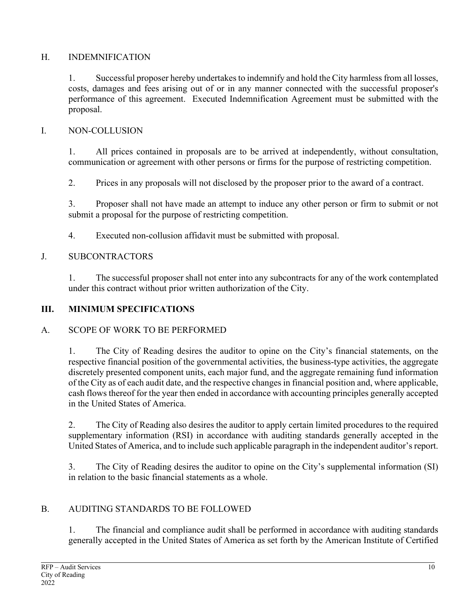## H. INDEMNIFICATION

1. Successful proposer hereby undertakes to indemnify and hold the City harmless from all losses, costs, damages and fees arising out of or in any manner connected with the successful proposer's performance of this agreement. Executed Indemnification Agreement must be submitted with the proposal.

## I. NON-COLLUSION

1. All prices contained in proposals are to be arrived at independently, without consultation, communication or agreement with other persons or firms for the purpose of restricting competition.

2. Prices in any proposals will not disclosed by the proposer prior to the award of a contract.

3. Proposer shall not have made an attempt to induce any other person or firm to submit or not submit a proposal for the purpose of restricting competition.

4. Executed non-collusion affidavit must be submitted with proposal.

## J. SUBCONTRACTORS

1. The successful proposer shall not enter into any subcontracts for any of the work contemplated under this contract without prior written authorization of the City.

## **III. MINIMUM SPECIFICATIONS**

## A. SCOPE OF WORK TO BE PERFORMED

1. The City of Reading desires the auditor to opine on the City's financial statements, on the respective financial position of the governmental activities, the business-type activities, the aggregate discretely presented component units, each major fund, and the aggregate remaining fund information of the City as of each audit date, and the respective changes in financial position and, where applicable, cash flows thereof for the year then ended in accordance with accounting principles generally accepted in the United States of America.

2. The City of Reading also desires the auditor to apply certain limited procedures to the required supplementary information (RSI) in accordance with auditing standards generally accepted in the United States of America, and to include such applicable paragraph in the independent auditor's report.

3. The City of Reading desires the auditor to opine on the City's supplemental information (SI) in relation to the basic financial statements as a whole.

## B. AUDITING STANDARDS TO BE FOLLOWED

1. The financial and compliance audit shall be performed in accordance with auditing standards generally accepted in the United States of America as set forth by the American Institute of Certified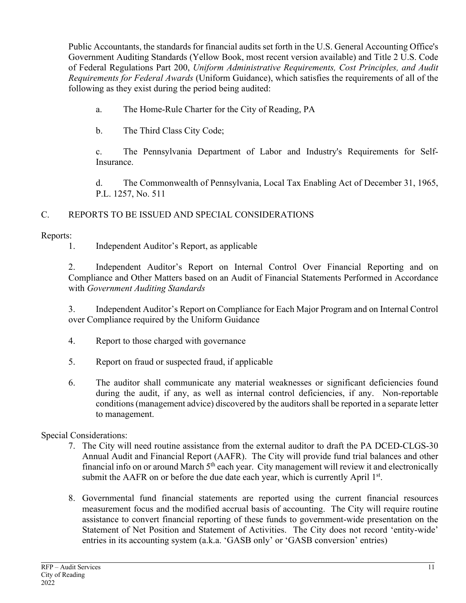Public Accountants, the standards for financial audits set forth in the U.S. General Accounting Office's Government Auditing Standards (Yellow Book, most recent version available) and Title 2 U.S. Code of Federal Regulations Part 200, *Uniform Administrative Requirements, Cost Principles, and Audit Requirements for Federal Awards* (Uniform Guidance), which satisfies the requirements of all of the following as they exist during the period being audited:

- a. The Home-Rule Charter for the City of Reading, PA
- b. The Third Class City Code;

c. The Pennsylvania Department of Labor and Industry's Requirements for Self-Insurance.

d. The Commonwealth of Pennsylvania, Local Tax Enabling Act of December 31, 1965, P.L. 1257, No. 511

## C. REPORTS TO BE ISSUED AND SPECIAL CONSIDERATIONS

## Reports:

1. Independent Auditor's Report, as applicable

2. Independent Auditor's Report on Internal Control Over Financial Reporting and on Compliance and Other Matters based on an Audit of Financial Statements Performed in Accordance with *Government Auditing Standards*

3. Independent Auditor's Report on Compliance for Each Major Program and on Internal Control over Compliance required by the Uniform Guidance

- 4. Report to those charged with governance
- 5. Report on fraud or suspected fraud, if applicable
- 6. The auditor shall communicate any material weaknesses or significant deficiencies found during the audit, if any, as well as internal control deficiencies, if any. Non-reportable conditions (management advice) discovered by the auditors shall be reported in a separate letter to management.

## Special Considerations:

- 7. The City will need routine assistance from the external auditor to draft the PA DCED-CLGS-30 Annual Audit and Financial Report (AAFR). The City will provide fund trial balances and other financial info on or around March 5<sup>th</sup> each year. City management will review it and electronically submit the AAFR on or before the due date each year, which is currently April  $1<sup>st</sup>$ .
- 8. Governmental fund financial statements are reported using the current financial resources measurement focus and the modified accrual basis of accounting. The City will require routine assistance to convert financial reporting of these funds to government-wide presentation on the Statement of Net Position and Statement of Activities. The City does not record 'entity-wide' entries in its accounting system (a.k.a. 'GASB only' or 'GASB conversion' entries)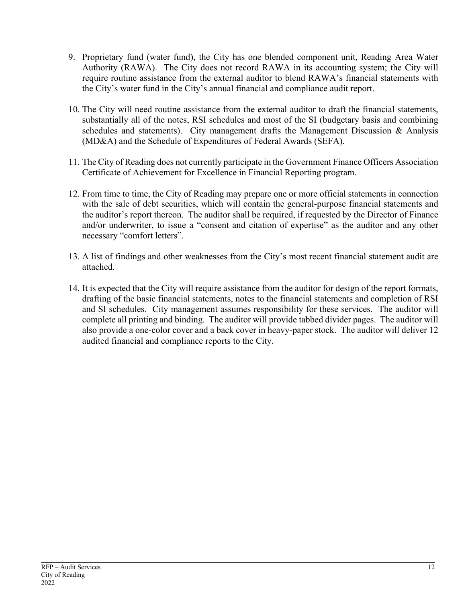- 9. Proprietary fund (water fund), the City has one blended component unit, Reading Area Water Authority (RAWA). The City does not record RAWA in its accounting system; the City will require routine assistance from the external auditor to blend RAWA's financial statements with the City's water fund in the City's annual financial and compliance audit report.
- 10. The City will need routine assistance from the external auditor to draft the financial statements, substantially all of the notes, RSI schedules and most of the SI (budgetary basis and combining schedules and statements). City management drafts the Management Discussion & Analysis (MD&A) and the Schedule of Expenditures of Federal Awards (SEFA).
- 11. The City of Reading does not currently participate in the Government Finance Officers Association Certificate of Achievement for Excellence in Financial Reporting program.
- 12. From time to time, the City of Reading may prepare one or more official statements in connection with the sale of debt securities, which will contain the general-purpose financial statements and the auditor's report thereon. The auditor shall be required, if requested by the Director of Finance and/or underwriter, to issue a "consent and citation of expertise" as the auditor and any other necessary "comfort letters".
- 13. A list of findings and other weaknesses from the City's most recent financial statement audit are attached.
- 14. It is expected that the City will require assistance from the auditor for design of the report formats, drafting of the basic financial statements, notes to the financial statements and completion of RSI and SI schedules. City management assumes responsibility for these services. The auditor will complete all printing and binding. The auditor will provide tabbed divider pages. The auditor will also provide a one-color cover and a back cover in heavy-paper stock. The auditor will deliver 12 audited financial and compliance reports to the City.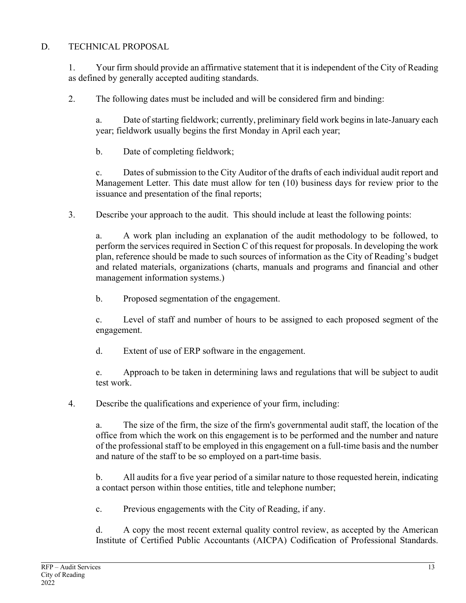## D. TECHNICAL PROPOSAL

1. Your firm should provide an affirmative statement that it is independent of the City of Reading as defined by generally accepted auditing standards.

2. The following dates must be included and will be considered firm and binding:

a. Date of starting fieldwork; currently, preliminary field work begins in late-January each year; fieldwork usually begins the first Monday in April each year;

b. Date of completing fieldwork;

c. Dates of submission to the City Auditor of the drafts of each individual audit report and Management Letter. This date must allow for ten (10) business days for review prior to the issuance and presentation of the final reports;

3. Describe your approach to the audit. This should include at least the following points:

a. A work plan including an explanation of the audit methodology to be followed, to perform the services required in Section C of this request for proposals. In developing the work plan, reference should be made to such sources of information as the City of Reading's budget and related materials, organizations (charts, manuals and programs and financial and other management information systems.)

b. Proposed segmentation of the engagement.

c. Level of staff and number of hours to be assigned to each proposed segment of the engagement.

d. Extent of use of ERP software in the engagement.

e. Approach to be taken in determining laws and regulations that will be subject to audit test work.

4. Describe the qualifications and experience of your firm, including:

a. The size of the firm, the size of the firm's governmental audit staff, the location of the office from which the work on this engagement is to be performed and the number and nature of the professional staff to be employed in this engagement on a full-time basis and the number and nature of the staff to be so employed on a part-time basis.

b. All audits for a five year period of a similar nature to those requested herein, indicating a contact person within those entities, title and telephone number;

c. Previous engagements with the City of Reading, if any.

d. A copy the most recent external quality control review, as accepted by the American Institute of Certified Public Accountants (AICPA) Codification of Professional Standards.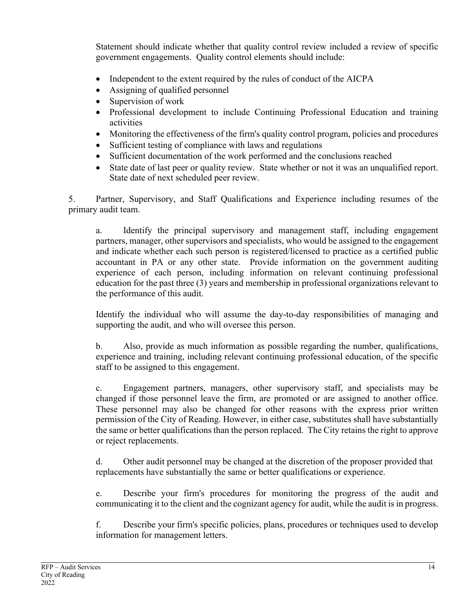Statement should indicate whether that quality control review included a review of specific government engagements. Quality control elements should include:

- Independent to the extent required by the rules of conduct of the AICPA
- Assigning of qualified personnel
- Supervision of work
- Professional development to include Continuing Professional Education and training activities
- Monitoring the effectiveness of the firm's quality control program, policies and procedures
- Sufficient testing of compliance with laws and regulations
- Sufficient documentation of the work performed and the conclusions reached
- State date of last peer or quality review. State whether or not it was an unqualified report. State date of next scheduled peer review.

5. Partner, Supervisory, and Staff Qualifications and Experience including resumes of the primary audit team.

a. Identify the principal supervisory and management staff, including engagement partners, manager, other supervisors and specialists, who would be assigned to the engagement and indicate whether each such person is registered/licensed to practice as a certified public accountant in PA or any other state. Provide information on the government auditing experience of each person, including information on relevant continuing professional education for the past three (3) years and membership in professional organizations relevant to the performance of this audit.

Identify the individual who will assume the day-to-day responsibilities of managing and supporting the audit, and who will oversee this person.

b. Also, provide as much information as possible regarding the number, qualifications, experience and training, including relevant continuing professional education, of the specific staff to be assigned to this engagement.

c. Engagement partners, managers, other supervisory staff, and specialists may be changed if those personnel leave the firm, are promoted or are assigned to another office. These personnel may also be changed for other reasons with the express prior written permission of the City of Reading. However, in either case, substitutes shall have substantially the same or better qualifications than the person replaced. The City retains the right to approve or reject replacements.

d. Other audit personnel may be changed at the discretion of the proposer provided that replacements have substantially the same or better qualifications or experience.

e. Describe your firm's procedures for monitoring the progress of the audit and communicating it to the client and the cognizant agency for audit, while the audit is in progress.

f. Describe your firm's specific policies, plans, procedures or techniques used to develop information for management letters.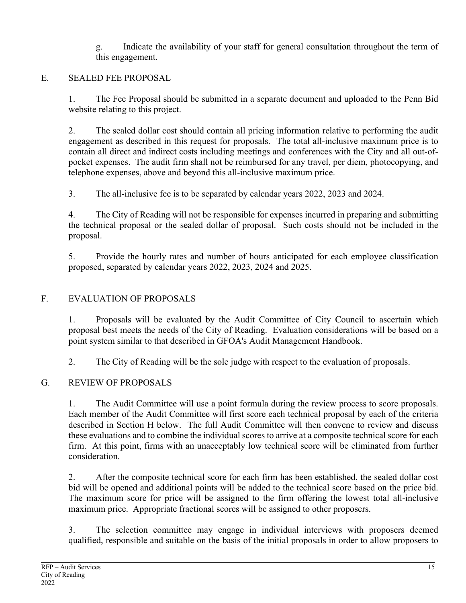g. Indicate the availability of your staff for general consultation throughout the term of this engagement.

## E. SEALED FEE PROPOSAL

1. The Fee Proposal should be submitted in a separate document and uploaded to the Penn Bid website relating to this project.

2. The sealed dollar cost should contain all pricing information relative to performing the audit engagement as described in this request for proposals. The total all-inclusive maximum price is to contain all direct and indirect costs including meetings and conferences with the City and all out-ofpocket expenses. The audit firm shall not be reimbursed for any travel, per diem, photocopying, and telephone expenses, above and beyond this all-inclusive maximum price.

3. The all-inclusive fee is to be separated by calendar years 2022, 2023 and 2024.

4. The City of Reading will not be responsible for expenses incurred in preparing and submitting the technical proposal or the sealed dollar of proposal. Such costs should not be included in the proposal.

5. Provide the hourly rates and number of hours anticipated for each employee classification proposed, separated by calendar years 2022, 2023, 2024 and 2025.

## F. EVALUATION OF PROPOSALS

1. Proposals will be evaluated by the Audit Committee of City Council to ascertain which proposal best meets the needs of the City of Reading. Evaluation considerations will be based on a point system similar to that described in GFOA's Audit Management Handbook.

2. The City of Reading will be the sole judge with respect to the evaluation of proposals.

## G. REVIEW OF PROPOSALS

1. The Audit Committee will use a point formula during the review process to score proposals. Each member of the Audit Committee will first score each technical proposal by each of the criteria described in Section H below. The full Audit Committee will then convene to review and discuss these evaluations and to combine the individual scores to arrive at a composite technical score for each firm. At this point, firms with an unacceptably low technical score will be eliminated from further consideration.

2. After the composite technical score for each firm has been established, the sealed dollar cost bid will be opened and additional points will be added to the technical score based on the price bid. The maximum score for price will be assigned to the firm offering the lowest total all-inclusive maximum price. Appropriate fractional scores will be assigned to other proposers.

3. The selection committee may engage in individual interviews with proposers deemed qualified, responsible and suitable on the basis of the initial proposals in order to allow proposers to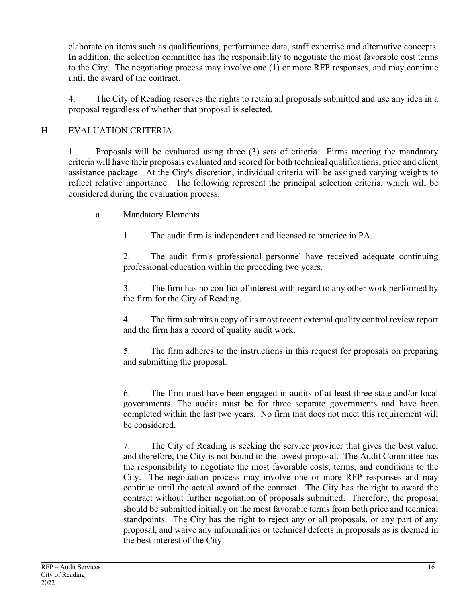elaborate on items such as qualifications, performance data, staff expertise and alternative concepts. In addition, the selection committee has the responsibility to negotiate the most favorable cost terms to the City. The negotiating process may involve one (1) or more RFP responses, and may continue until the award of the contract.

4. The City of Reading reserves the rights to retain all proposals submitted and use any idea in a proposal regardless of whether that proposal is selected.

## H. EVALUATION CRITERIA

1. Proposals will be evaluated using three (3) sets of criteria. Firms meeting the mandatory criteria will have their proposals evaluated and scored for both technical qualifications, price and client assistance package. At the City's discretion, individual criteria will be assigned varying weights to reflect relative importance. The following represent the principal selection criteria, which will be considered during the evaluation process.

a. Mandatory Elements

1. The audit firm is independent and licensed to practice in PA.

2. The audit firm's professional personnel have received adequate continuing professional education within the preceding two years.

3. The firm has no conflict of interest with regard to any other work performed by the firm for the City of Reading.

4. The firm submits a copy of its most recent external quality control review report and the firm has a record of quality audit work.

5. The firm adheres to the instructions in this request for proposals on preparing and submitting the proposal.

6. The firm must have been engaged in audits of at least three state and/or local governments. The audits must be for three separate governments and have been completed within the last two years. No firm that does not meet this requirement will be considered.

7. The City of Reading is seeking the service provider that gives the best value, and therefore, the City is not bound to the lowest proposal. The Audit Committee has the responsibility to negotiate the most favorable costs, terms, and conditions to the City. The negotiation process may involve one or more RFP responses and may continue until the actual award of the contract. The City has the right to award the contract without further negotiation of proposals submitted. Therefore, the proposal should be submitted initially on the most favorable terms from both price and technical standpoints. The City has the right to reject any or all proposals, or any part of any proposal, and waive any informalities or technical defects in proposals as is deemed in the best interest of the City.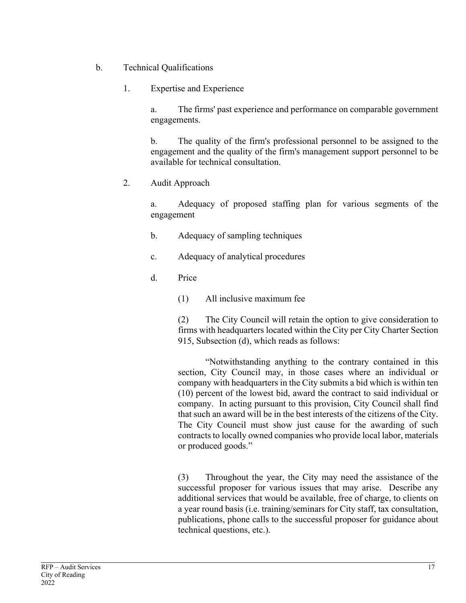- b. Technical Qualifications
	- 1. Expertise and Experience

a. The firms' past experience and performance on comparable government engagements.

b. The quality of the firm's professional personnel to be assigned to the engagement and the quality of the firm's management support personnel to be available for technical consultation.

2. Audit Approach

a. Adequacy of proposed staffing plan for various segments of the engagement

- b. Adequacy of sampling techniques
- c. Adequacy of analytical procedures
- d. Price
	- (1) All inclusive maximum fee

(2) The City Council will retain the option to give consideration to firms with headquarters located within the City per City Charter Section 915, Subsection (d), which reads as follows:

"Notwithstanding anything to the contrary contained in this section, City Council may, in those cases where an individual or company with headquarters in the City submits a bid which is within ten (10) percent of the lowest bid, award the contract to said individual or company. In acting pursuant to this provision, City Council shall find that such an award will be in the best interests of the citizens of the City. The City Council must show just cause for the awarding of such contracts to locally owned companies who provide local labor, materials or produced goods."

(3) Throughout the year, the City may need the assistance of the successful proposer for various issues that may arise. Describe any additional services that would be available, free of charge, to clients on a year round basis (i.e. training/seminars for City staff, tax consultation, publications, phone calls to the successful proposer for guidance about technical questions, etc.).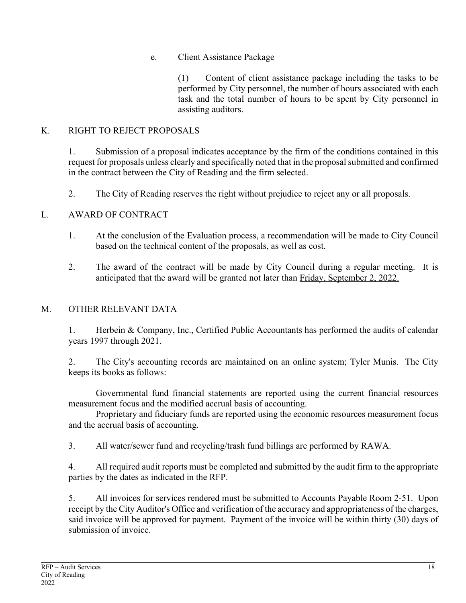## e. Client Assistance Package

(1) Content of client assistance package including the tasks to be performed by City personnel, the number of hours associated with each task and the total number of hours to be spent by City personnel in assisting auditors.

#### K. RIGHT TO REJECT PROPOSALS

1. Submission of a proposal indicates acceptance by the firm of the conditions contained in this request for proposals unless clearly and specifically noted that in the proposal submitted and confirmed in the contract between the City of Reading and the firm selected.

2. The City of Reading reserves the right without prejudice to reject any or all proposals.

## L. AWARD OF CONTRACT

- 1. At the conclusion of the Evaluation process, a recommendation will be made to City Council based on the technical content of the proposals, as well as cost.
- 2. The award of the contract will be made by City Council during a regular meeting. It is anticipated that the award will be granted not later than Friday, September 2, 2022.

## M. OTHER RELEVANT DATA

1. Herbein & Company, Inc., Certified Public Accountants has performed the audits of calendar years 1997 through 2021.

2. The City's accounting records are maintained on an online system; Tyler Munis. The City keeps its books as follows:

Governmental fund financial statements are reported using the current financial resources measurement focus and the modified accrual basis of accounting.

Proprietary and fiduciary funds are reported using the economic resources measurement focus and the accrual basis of accounting.

3. All water/sewer fund and recycling/trash fund billings are performed by RAWA.

4. All required audit reports must be completed and submitted by the audit firm to the appropriate parties by the dates as indicated in the RFP.

5. All invoices for services rendered must be submitted to Accounts Payable Room 2-51. Upon receipt by the City Auditor's Office and verification of the accuracy and appropriateness of the charges, said invoice will be approved for payment. Payment of the invoice will be within thirty (30) days of submission of invoice.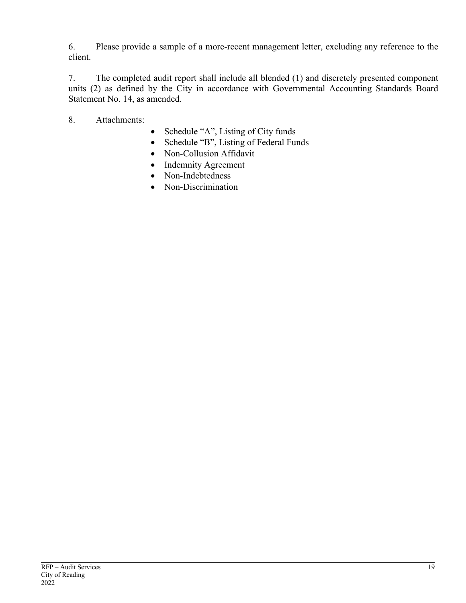6. Please provide a sample of a more-recent management letter, excluding any reference to the client.

7. The completed audit report shall include all blended (1) and discretely presented component units (2) as defined by the City in accordance with Governmental Accounting Standards Board Statement No. 14, as amended.

8. Attachments:

- Schedule "A", Listing of City funds
- Schedule "B", Listing of Federal Funds
- Non-Collusion Affidavit
- Indemnity Agreement
- Non-Indebtedness
- Non-Discrimination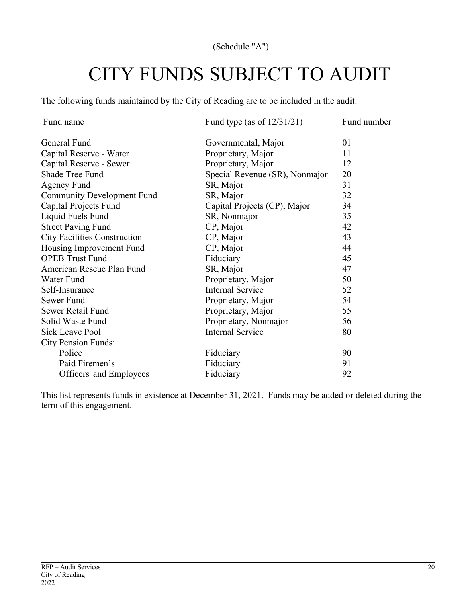(Schedule "A")

# CITY FUNDS SUBJECT TO AUDIT

The following funds maintained by the City of Reading are to be included in the audit:

| Fund name                           | Fund type (as of $12/31/21$ )  | Fund number |
|-------------------------------------|--------------------------------|-------------|
| General Fund                        | Governmental, Major            | 01          |
| Capital Reserve - Water             | Proprietary, Major             | 11          |
| Capital Reserve - Sewer             | Proprietary, Major             | 12          |
| Shade Tree Fund                     | Special Revenue (SR), Nonmajor | 20          |
| Agency Fund                         | SR, Major                      | 31          |
| <b>Community Development Fund</b>   | SR, Major                      | 32          |
| Capital Projects Fund               | Capital Projects (CP), Major   | 34          |
| Liquid Fuels Fund                   | SR, Nonmajor                   | 35          |
| <b>Street Paving Fund</b>           | CP, Major                      | 42          |
| <b>City Facilities Construction</b> | CP, Major                      | 43          |
| Housing Improvement Fund            | CP, Major                      | 44          |
| <b>OPEB Trust Fund</b>              | Fiduciary                      | 45          |
| American Rescue Plan Fund           | SR, Major                      | 47          |
| Water Fund                          | Proprietary, Major             | 50          |
| Self-Insurance                      | <b>Internal Service</b>        | 52          |
| Sewer Fund                          | Proprietary, Major             | 54          |
| Sewer Retail Fund                   | Proprietary, Major             | 55          |
| Solid Waste Fund                    | Proprietary, Nonmajor          | 56          |
| Sick Leave Pool                     | <b>Internal Service</b>        | 80          |
| <b>City Pension Funds:</b>          |                                |             |
| Police                              | Fiduciary                      | 90          |
| Paid Firemen's                      | Fiduciary                      | 91          |
| Officers' and Employees             | Fiduciary                      | 92          |

This list represents funds in existence at December 31, 2021. Funds may be added or deleted during the term of this engagement.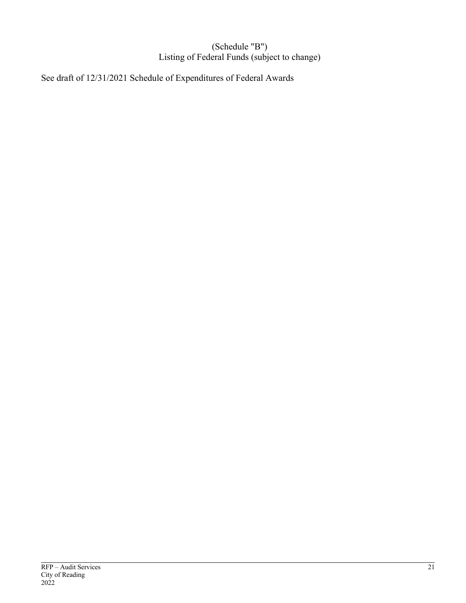#### (Schedule "B") Listing of Federal Funds (subject to change)

See draft of 12/31/2021 Schedule of Expenditures of Federal Awards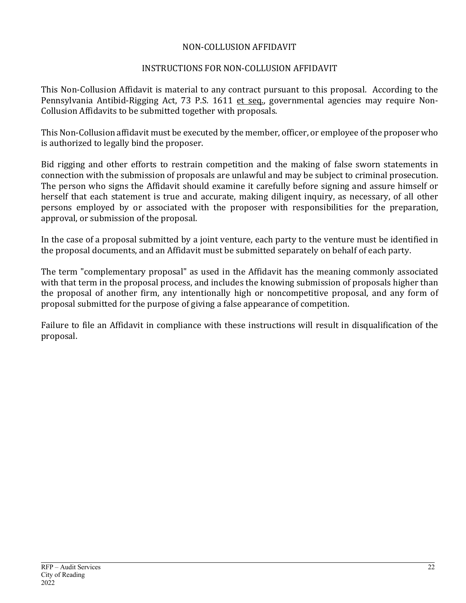#### NON-COLLUSION AFFIDAVIT

#### INSTRUCTIONS FOR NON-COLLUSION AFFIDAVIT

This Non-Collusion Affidavit is material to any contract pursuant to this proposal. According to the Pennsylvania Antibid-Rigging Act, 73 P.S. 1611 et seq., governmental agencies may require Non-Collusion Affidavits to be submitted together with proposals.

This Non-Collusion affidavit must be executed by the member, officer, or employee of the proposer who is authorized to legally bind the proposer.

Bid rigging and other efforts to restrain competition and the making of false sworn statements in connection with the submission of proposals are unlawful and may be subject to criminal prosecution. The person who signs the Affidavit should examine it carefully before signing and assure himself or herself that each statement is true and accurate, making diligent inquiry, as necessary, of all other persons employed by or associated with the proposer with responsibilities for the preparation, approval, or submission of the proposal.

In the case of a proposal submitted by a joint venture, each party to the venture must be identified in the proposal documents, and an Affidavit must be submitted separately on behalf of each party.

The term "complementary proposal" as used in the Affidavit has the meaning commonly associated with that term in the proposal process, and includes the knowing submission of proposals higher than the proposal of another firm, any intentionally high or noncompetitive proposal, and any form of proposal submitted for the purpose of giving a false appearance of competition.

Failure to file an Affidavit in compliance with these instructions will result in disqualification of the proposal.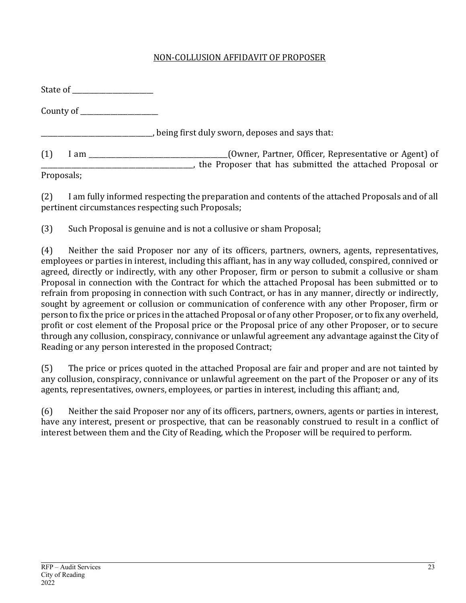## NON-COLLUSION AFFIDAVIT OF PROPOSER

|            | State of the state of the state of the state of the state of the state of the state of the state of the state of the state of the state of the state of the state of the state of the state of the state of the state of the s |                                                                                                                                           |
|------------|--------------------------------------------------------------------------------------------------------------------------------------------------------------------------------------------------------------------------------|-------------------------------------------------------------------------------------------------------------------------------------------|
|            |                                                                                                                                                                                                                                |                                                                                                                                           |
|            |                                                                                                                                                                                                                                | being first duly sworn, deposes and says that:                                                                                            |
| (1)        |                                                                                                                                                                                                                                | (Owner, Partner, Officer, Representative or Agent) of<br>$I$ am $\frac{I}{I}$<br>the Proposer that has submitted the attached Proposal or |
| Proposals; |                                                                                                                                                                                                                                |                                                                                                                                           |

(2) I am fully informed respecting the preparation and contents of the attached Proposals and of all pertinent circumstances respecting such Proposals;

(3) Such Proposal is genuine and is not a collusive or sham Proposal;

(4) Neither the said Proposer nor any of its officers, partners, owners, agents, representatives, employees or parties in interest, including this affiant, has in any way colluded, conspired, connived or agreed, directly or indirectly, with any other Proposer, firm or person to submit a collusive or sham Proposal in connection with the Contract for which the attached Proposal has been submitted or to refrain from proposing in connection with such Contract, or has in any manner, directly or indirectly, sought by agreement or collusion or communication of conference with any other Proposer, firm or person to fix the price or prices in the attached Proposal or of any other Proposer, or to fix any overheld, profit or cost element of the Proposal price or the Proposal price of any other Proposer, or to secure through any collusion, conspiracy, connivance or unlawful agreement any advantage against the City of Reading or any person interested in the proposed Contract;

(5) The price or prices quoted in the attached Proposal are fair and proper and are not tainted by any collusion, conspiracy, connivance or unlawful agreement on the part of the Proposer or any of its agents, representatives, owners, employees, or parties in interest, including this affiant; and,

(6) Neither the said Proposer nor any of its officers, partners, owners, agents or parties in interest, have any interest, present or prospective, that can be reasonably construed to result in a conflict of interest between them and the City of Reading, which the Proposer will be required to perform.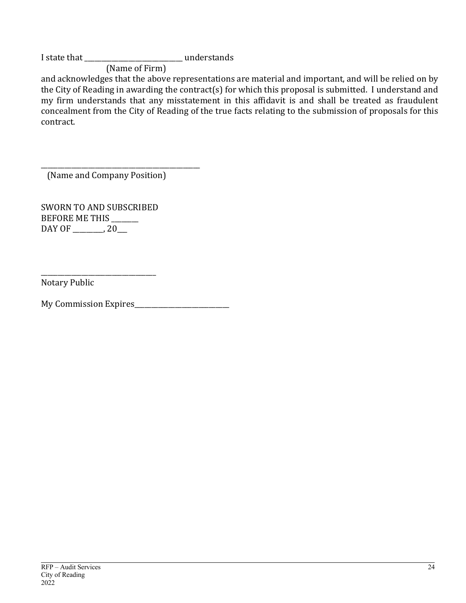I state that \_\_\_\_\_\_\_\_\_\_\_\_\_\_\_\_\_\_\_\_\_\_\_\_\_\_\_\_\_ understands

(Name of Firm)

and acknowledges that the above representations are material and important, and will be relied on by the City of Reading in awarding the contract(s) for which this proposal is submitted. I understand and my firm understands that any misstatement in this affidavit is and shall be treated as fraudulent concealment from the City of Reading of the true facts relating to the submission of proposals for this contract.

\_\_\_\_\_\_\_\_\_\_\_\_\_\_\_\_\_\_\_\_\_\_\_\_\_\_\_\_\_\_\_\_\_\_\_\_\_\_\_\_\_\_\_\_\_\_\_ (Name and Company Position)

SWORN TO AND SUBSCRIBED BEFORE ME THIS \_\_\_\_\_\_ DAY OF \_\_\_\_\_\_\_, 20\_\_

\_\_\_\_\_\_\_\_\_\_\_\_\_\_\_\_\_\_\_\_\_\_\_\_\_\_\_\_\_\_\_\_\_\_ 

Notary Public

My Commission Expires\_\_\_\_\_\_\_\_\_\_\_\_\_\_\_\_\_\_\_\_\_\_\_\_\_\_\_\_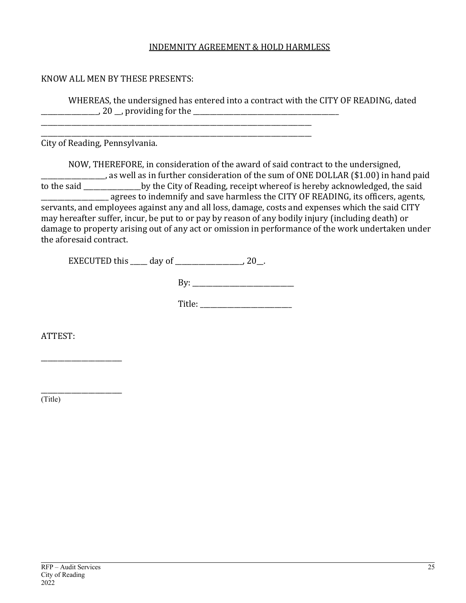#### INDEMNITY AGREEMENT & HOLD HARMLESS

#### KNOW ALL MEN BY THESE PRESENTS:

WHEREAS, the undersigned has entered into a contract with the CITY OF READING, dated \_\_\_\_\_\_\_\_\_\_\_\_\_\_\_\_\_, 20 \_\_, providing for the \_\_\_\_\_\_\_\_\_\_\_\_\_\_\_\_\_\_\_\_\_\_\_\_\_\_\_\_\_\_\_\_\_\_\_\_\_\_\_\_\_\_\_ 

City of Reading, Pennsylvania.

NOW, THEREFORE, in consideration of the award of said contract to the undersigned, as well as in further consideration of the sum of ONE DOLLAR (\$1.00) in hand paid to the said \_\_\_\_\_\_\_\_\_\_\_\_\_\_\_\_\_by the City of Reading, receipt whereof is hereby acknowledged, the said **\_\_\_\_\_\_\_\_** agrees to indemnify and save harmless the CITY OF READING, its officers, agents, servants, and employees against any and all loss, damage, costs and expenses which the said CITY may hereafter suffer, incur, be put to or pay by reason of any bodily injury (including death) or damage to property arising out of any act or omission in performance of the work undertaken under the aforesaid contract.

EXECUTED this  $\_\_\_\_$  day of  $\_\_\_\_\_\_\_\_\_$  20 $\_\_\_\_\$ .

\_\_\_\_\_\_\_\_\_\_\_\_\_\_\_\_\_\_\_\_\_\_\_\_\_\_\_\_\_\_\_\_\_\_\_\_\_\_\_\_\_\_\_\_\_\_\_\_\_\_\_\_\_\_\_\_\_\_\_\_\_\_\_\_\_\_\_\_\_\_\_\_\_\_\_\_\_\_\_\_ \_\_\_\_\_\_\_\_\_\_\_\_\_\_\_\_\_\_\_\_\_\_\_\_\_\_\_\_\_\_\_\_\_\_\_\_\_\_\_\_\_\_\_\_\_\_\_\_\_\_\_\_\_\_\_\_\_\_\_\_\_\_\_\_\_\_\_\_\_\_\_\_\_\_\_\_\_\_\_\_

By: \_\_\_\_\_\_\_\_\_\_\_\_\_\_\_\_\_\_\_\_\_\_\_\_\_\_\_\_\_\_

Title:

ATTEST:

\_\_\_\_\_\_\_\_\_\_\_\_\_\_\_\_\_\_\_\_\_\_\_\_

\_\_\_\_\_\_\_\_\_\_\_\_\_\_\_\_\_\_\_\_\_\_\_\_ (Title)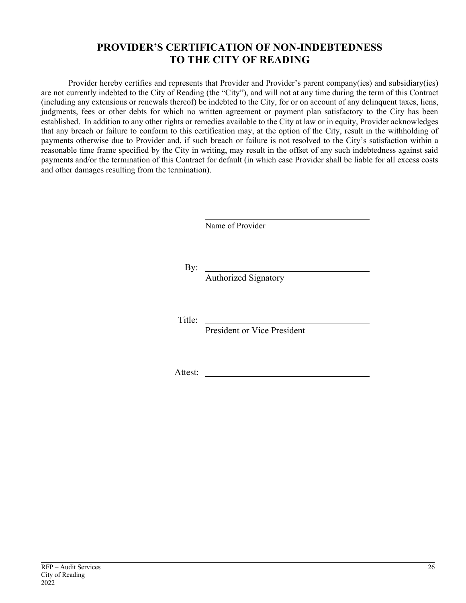## **PROVIDER'S CERTIFICATION OF NON-INDEBTEDNESS TO THE CITY OF READING**

Provider hereby certifies and represents that Provider and Provider's parent company(ies) and subsidiary(ies) are not currently indebted to the City of Reading (the "City"), and will not at any time during the term of this Contract (including any extensions or renewals thereof) be indebted to the City, for or on account of any delinquent taxes, liens, judgments, fees or other debts for which no written agreement or payment plan satisfactory to the City has been established. In addition to any other rights or remedies available to the City at law or in equity, Provider acknowledges that any breach or failure to conform to this certification may, at the option of the City, result in the withholding of payments otherwise due to Provider and, if such breach or failure is not resolved to the City's satisfaction within a reasonable time frame specified by the City in writing, may result in the offset of any such indebtedness against said payments and/or the termination of this Contract for default (in which case Provider shall be liable for all excess costs and other damages resulting from the termination).

Name of Provider

By:

Authorized Signatory

Title:

President or Vice President

Attest: